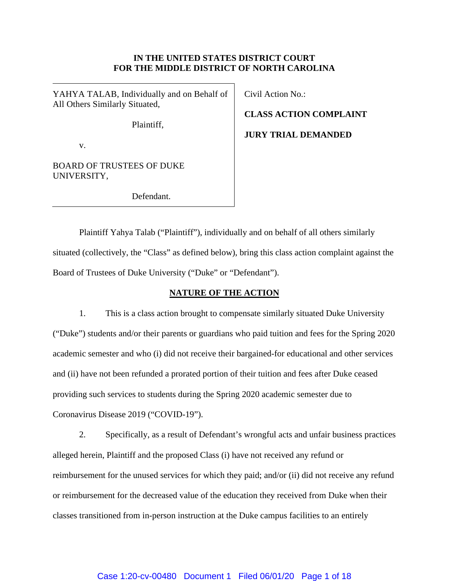# **IN THE UNITED STATES DISTRICT COURT FOR THE MIDDLE DISTRICT OF NORTH CAROLINA**

YAHYA TALAB, Individually and on Behalf of All Others Similarly Situated,

Plaintiff,

v.

BOARD OF TRUSTEES OF DUKE UNIVERSITY,

Defendant.

Civil Action No.:

**CLASS ACTION COMPLAINT**

**JURY TRIAL DEMANDED**

Plaintiff Yahya Talab ("Plaintiff"), individually and on behalf of all others similarly situated (collectively, the "Class" as defined below), bring this class action complaint against the Board of Trustees of Duke University ("Duke" or "Defendant").

# **NATURE OF THE ACTION**

1. This is a class action brought to compensate similarly situated Duke University ("Duke") students and/or their parents or guardians who paid tuition and fees for the Spring 2020 academic semester and who (i) did not receive their bargained-for educational and other services and (ii) have not been refunded a prorated portion of their tuition and fees after Duke ceased providing such services to students during the Spring 2020 academic semester due to Coronavirus Disease 2019 ("COVID-19").

2. Specifically, as a result of Defendant's wrongful acts and unfair business practices alleged herein, Plaintiff and the proposed Class (i) have not received any refund or reimbursement for the unused services for which they paid; and/or (ii) did not receive any refund or reimbursement for the decreased value of the education they received from Duke when their classes transitioned from in-person instruction at the Duke campus facilities to an entirely

# Case 1:20-cv-00480 Document 1 Filed 06/01/20 Page 1 of 18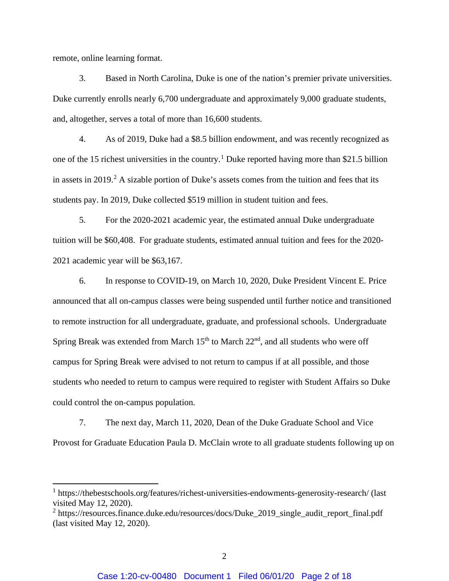remote, online learning format.

3. Based in North Carolina, Duke is one of the nation's premier private universities. Duke currently enrolls nearly 6,700 undergraduate and approximately 9,000 graduate students, and, altogether, serves a total of more than 16,600 students.

4. As of 2019, Duke had a \$8.5 billion endowment, and was recently recognized as one of the [1](#page-1-0)5 richest universities in the country.<sup>1</sup> Duke reported having more than \$21.5 billion in assets in 2019. [2](#page-1-1) A sizable portion of Duke's assets comes from the tuition and fees that its students pay. In 2019, Duke collected \$519 million in student tuition and fees.

5. For the 2020-2021 academic year, the estimated annual Duke undergraduate tuition will be \$60,408. For graduate students, estimated annual tuition and fees for the 2020- 2021 academic year will be \$63,167.

6. In response to COVID-19, on March 10, 2020, Duke President Vincent E. Price announced that all on-campus classes were being suspended until further notice and transitioned to remote instruction for all undergraduate, graduate, and professional schools. Undergraduate Spring Break was extended from March  $15<sup>th</sup>$  to March  $22<sup>nd</sup>$ , and all students who were off campus for Spring Break were advised to not return to campus if at all possible, and those students who needed to return to campus were required to register with Student Affairs so Duke could control the on-campus population.

7. The next day, March 11, 2020, Dean of the Duke Graduate School and Vice Provost for Graduate Education Paula D. McClain wrote to all graduate students following up on

<span id="page-1-0"></span><sup>1</sup> https://thebestschools.org/features/richest-universities-endowments-generosity-research/ (last visited May 12, 2020).

<span id="page-1-1"></span> $2$  https://resources.finance.duke.edu/resources/docs/Duke 2019 single audit report final.pdf (last visited May 12, 2020).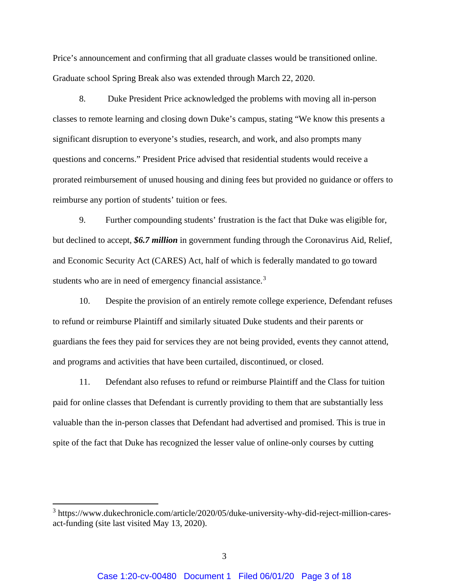Price's announcement and confirming that all graduate classes would be transitioned online. Graduate school Spring Break also was extended through March 22, 2020.

8. Duke President Price acknowledged the problems with moving all in-person classes to remote learning and closing down Duke's campus, stating "We know this presents a significant disruption to everyone's studies, research, and work, and also prompts many questions and concerns." President Price advised that residential students would receive a prorated reimbursement of unused housing and dining fees but provided no guidance or offers to reimburse any portion of students' tuition or fees.

9. Further compounding students' frustration is the fact that Duke was eligible for, but declined to accept, *\$6.7 million* in government funding through the Coronavirus Aid, Relief, and Economic Security Act (CARES) Act, half of which is federally mandated to go toward students who are in need of emergency financial assistance.<sup>[3](#page-2-0)</sup>

10. Despite the provision of an entirely remote college experience, Defendant refuses to refund or reimburse Plaintiff and similarly situated Duke students and their parents or guardians the fees they paid for services they are not being provided, events they cannot attend, and programs and activities that have been curtailed, discontinued, or closed.

11. Defendant also refuses to refund or reimburse Plaintiff and the Class for tuition paid for online classes that Defendant is currently providing to them that are substantially less valuable than the in-person classes that Defendant had advertised and promised. This is true in spite of the fact that Duke has recognized the lesser value of online-only courses by cutting

<span id="page-2-0"></span><sup>3</sup> https://www.dukechronicle.com/article/2020/05/duke-university-why-did-reject-million-caresact-funding (site last visited May 13, 2020).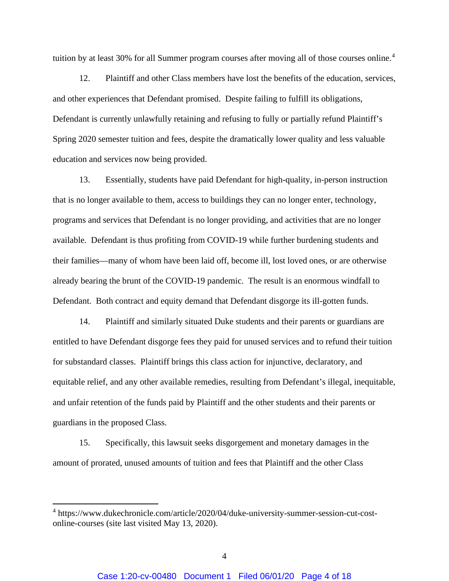tuition by at least 30% for all Summer program courses after moving all of those courses online.<sup>[4](#page-3-0)</sup>

12. Plaintiff and other Class members have lost the benefits of the education, services, and other experiences that Defendant promised. Despite failing to fulfill its obligations, Defendant is currently unlawfully retaining and refusing to fully or partially refund Plaintiff's Spring 2020 semester tuition and fees, despite the dramatically lower quality and less valuable education and services now being provided.

13. Essentially, students have paid Defendant for high-quality, in-person instruction that is no longer available to them, access to buildings they can no longer enter, technology, programs and services that Defendant is no longer providing, and activities that are no longer available. Defendant is thus profiting from COVID-19 while further burdening students and their families—many of whom have been laid off, become ill, lost loved ones, or are otherwise already bearing the brunt of the COVID-19 pandemic. The result is an enormous windfall to Defendant. Both contract and equity demand that Defendant disgorge its ill-gotten funds.

14. Plaintiff and similarly situated Duke students and their parents or guardians are entitled to have Defendant disgorge fees they paid for unused services and to refund their tuition for substandard classes. Plaintiff brings this class action for injunctive, declaratory, and equitable relief, and any other available remedies, resulting from Defendant's illegal, inequitable, and unfair retention of the funds paid by Plaintiff and the other students and their parents or guardians in the proposed Class.

15. Specifically, this lawsuit seeks disgorgement and monetary damages in the amount of prorated, unused amounts of tuition and fees that Plaintiff and the other Class

<span id="page-3-0"></span><sup>4</sup> https://www.dukechronicle.com/article/2020/04/duke-university-summer-session-cut-costonline-courses (site last visited May 13, 2020).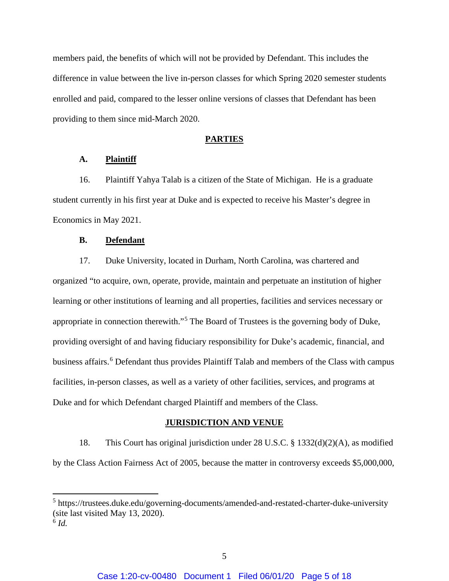members paid, the benefits of which will not be provided by Defendant. This includes the difference in value between the live in-person classes for which Spring 2020 semester students enrolled and paid, compared to the lesser online versions of classes that Defendant has been providing to them since mid-March 2020.

## **PARTIES**

# **A. Plaintiff**

16. Plaintiff Yahya Talab is a citizen of the State of Michigan. He is a graduate student currently in his first year at Duke and is expected to receive his Master's degree in Economics in May 2021.

# **B. Defendant**

17. Duke University, located in Durham, North Carolina, was chartered and organized "to acquire, own, operate, provide, maintain and perpetuate an institution of higher learning or other institutions of learning and all properties, facilities and services necessary or appropriate in connection therewith."[5](#page-4-0) The Board of Trustees is the governing body of Duke, providing oversight of and having fiduciary responsibility for Duke's academic, financial, and business affairs.<sup>[6](#page-4-1)</sup> Defendant thus provides Plaintiff Talab and members of the Class with campus facilities, in-person classes, as well as a variety of other facilities, services, and programs at Duke and for which Defendant charged Plaintiff and members of the Class.

## **JURISDICTION AND VENUE**

18. This Court has original jurisdiction under 28 U.S.C. § 1332(d)(2)(A), as modified by the Class Action Fairness Act of 2005, because the matter in controversy exceeds \$5,000,000,

<span id="page-4-0"></span><sup>5</sup> https://trustees.duke.edu/governing-documents/amended-and-restated-charter-duke-university (site last visited May 13, 2020).

<span id="page-4-1"></span><sup>6</sup> *Id.*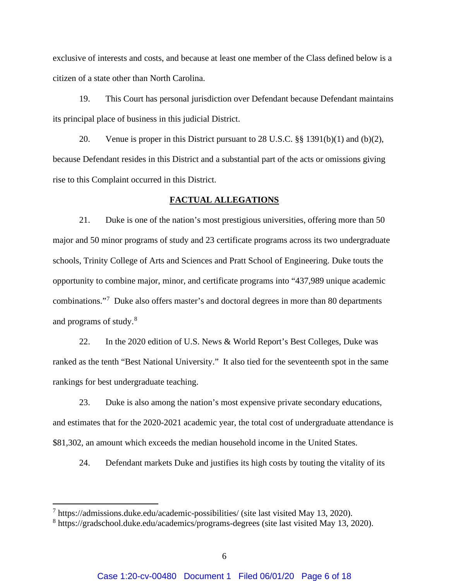exclusive of interests and costs, and because at least one member of the Class defined below is a citizen of a state other than North Carolina.

19. This Court has personal jurisdiction over Defendant because Defendant maintains its principal place of business in this judicial District.

20. Venue is proper in this District pursuant to 28 U.S.C. §§ 1391(b)(1) and (b)(2), because Defendant resides in this District and a substantial part of the acts or omissions giving rise to this Complaint occurred in this District.

# **FACTUAL ALLEGATIONS**

21. Duke is one of the nation's most prestigious universities, offering more than 50 major and 50 minor programs of study and 23 certificate programs across its two undergraduate schools, Trinity College of Arts and Sciences and Pratt School of Engineering. Duke touts the opportunity to combine major, minor, and certificate programs into "437,989 unique academic combinations."[7](#page-5-0) Duke also offers master's and doctoral degrees in more than 80 departments and programs of study.<sup>[8](#page-5-1)</sup>

22. In the 2020 edition of U.S. News & World Report's Best Colleges, Duke was ranked as the tenth "Best National University." It also tied for the seventeenth spot in the same rankings for best undergraduate teaching.

23. Duke is also among the nation's most expensive private secondary educations, and estimates that for the 2020-2021 academic year, the total cost of undergraduate attendance is \$81,302, an amount which exceeds the median household income in the United States.

24. Defendant markets Duke and justifies its high costs by touting the vitality of its

<span id="page-5-0"></span> $^7$  https://admissions.duke.edu/academic-possibilities/ (site last visited May 13, 2020).

<span id="page-5-1"></span><sup>8</sup> https://gradschool.duke.edu/academics/programs-degrees (site last visited May 13, 2020).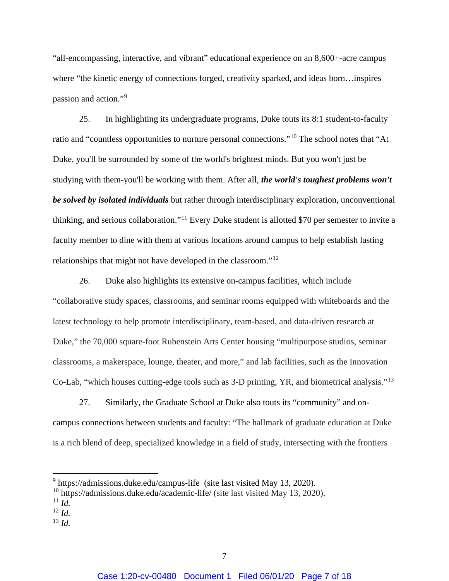"all-encompassing, interactive, and vibrant" educational experience on an 8,600+-acre campus where "the kinetic energy of connections forged, creativity sparked, and ideas born…inspires passion and action."[9](#page-6-0)

25. In highlighting its undergraduate programs, Duke touts its 8:1 student-to-faculty ratio and "countless opportunities to nurture personal connections."[10](#page-6-1) The school notes that "At Duke, you'll be surrounded by some of the world's brightest minds. But you won't just be studying with them-you'll be working with them. After all, *the world's toughest problems won't be solved by isolated individuals* but rather through interdisciplinary exploration, unconventional thinking, and serious collaboration."[11](#page-6-2) Every Duke student is allotted \$70 per semester to invite a faculty member to dine with them at various locations around campus to help establish lasting relationships that might not have developed in the classroom."[12](#page-6-3)

26. Duke also highlights its extensive on-campus facilities, which include "collaborative study spaces, classrooms, and seminar rooms equipped with whiteboards and the latest technology to help promote interdisciplinary, team-based, and data-driven research at Duke," the 70,000 square-foot Rubenstein Arts Center housing "multipurpose studios, seminar classrooms, a makerspace, lounge, theater, and more," and lab facilities, such as the Innovation Co-Lab, "which houses cutting-edge tools such as 3-D printing, YR, and biometrical analysis."[13](#page-6-4)

27. Similarly, the Graduate School at Duke also touts its "community" and oncampus connections between students and faculty: "The hallmark of graduate education at Duke is a rich blend of deep, specialized knowledge in a field of study, intersecting with the frontiers

<span id="page-6-4"></span><sup>13</sup> *Id.*

<span id="page-6-1"></span><span id="page-6-0"></span><sup>9</sup> https://admissions.duke.edu/campus-life (site last visited May 13, 2020).

 $10$  https://admissions.duke.edu/academic-life/ (site last visited May 13, 2020).

<span id="page-6-2"></span> $11$  *Id.* 

<span id="page-6-3"></span><sup>12</sup> *Id.*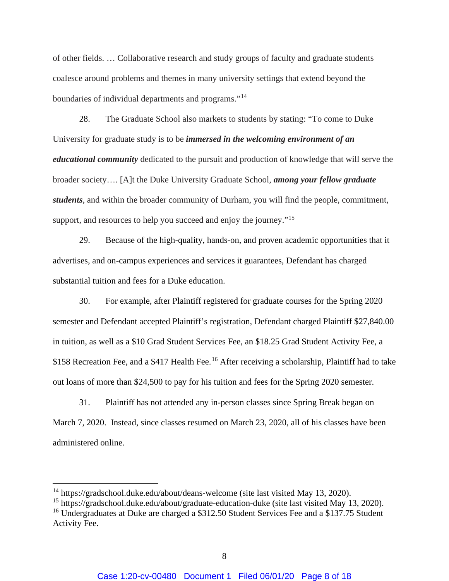of other fields. … Collaborative research and study groups of faculty and graduate students coalesce around problems and themes in many university settings that extend beyond the boundaries of individual departments and programs."[14](#page-7-0)

28. The Graduate School also markets to students by stating: "To come to Duke University for graduate study is to be *immersed in the welcoming environment of an educational community* dedicated to the pursuit and production of knowledge that will serve the broader society…. [A]t the Duke University Graduate School, *among your fellow graduate students*, and within the broader community of Durham, you will find the people, commitment, support, and resources to help you succeed and enjoy the journey."<sup>[15](#page-7-1)</sup>

29. Because of the high-quality, hands-on, and proven academic opportunities that it advertises, and on-campus experiences and services it guarantees, Defendant has charged substantial tuition and fees for a Duke education.

30. For example, after Plaintiff registered for graduate courses for the Spring 2020 semester and Defendant accepted Plaintiff's registration, Defendant charged Plaintiff \$27,840.00 in tuition, as well as a \$10 Grad Student Services Fee, an \$18.25 Grad Student Activity Fee, a \$158 Recreation Fee, and a \$417 Health Fee.<sup>[16](#page-7-2)</sup> After receiving a scholarship, Plaintiff had to take out loans of more than \$24,500 to pay for his tuition and fees for the Spring 2020 semester.

31. Plaintiff has not attended any in-person classes since Spring Break began on March 7, 2020. Instead, since classes resumed on March 23, 2020, all of his classes have been administered online.

<span id="page-7-0"></span><sup>&</sup>lt;sup>14</sup> https://gradschool.duke.edu/about/deans-welcome (site last visited May 13, 2020).

<span id="page-7-1"></span><sup>&</sup>lt;sup>15</sup> https://gradschool.duke.edu/about/graduate-education-duke (site last visited May 13, 2020).

<span id="page-7-2"></span><sup>&</sup>lt;sup>16</sup> Undergraduates at Duke are charged a \$312.50 Student Services Fee and a \$137.75 Student Activity Fee.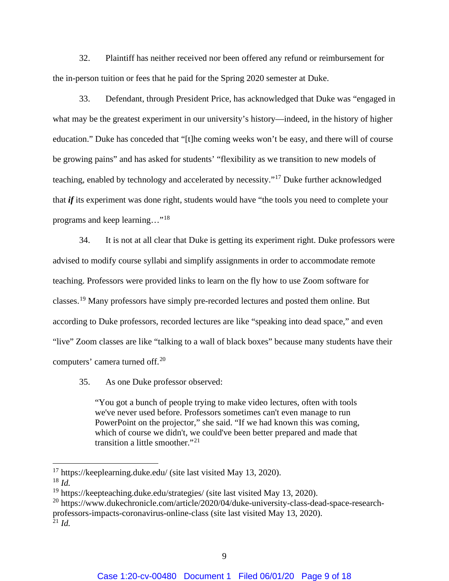32. Plaintiff has neither received nor been offered any refund or reimbursement for the in-person tuition or fees that he paid for the Spring 2020 semester at Duke.

33. Defendant, through President Price, has acknowledged that Duke was "engaged in what may be the greatest experiment in our university's history—indeed, in the history of higher education." Duke has conceded that "[t]he coming weeks won't be easy, and there will of course be growing pains" and has asked for students' "flexibility as we transition to new models of teaching, enabled by technology and accelerated by necessity."[17](#page-8-0) Duke further acknowledged that *if* its experiment was done right, students would have "the tools you need to complete your programs and keep learning…"[18](#page-8-1)

34. It is not at all clear that Duke is getting its experiment right. Duke professors were advised to modify course syllabi and simplify assignments in order to accommodate remote teaching. Professors were provided links to learn on the fly how to use Zoom software for classes.[19](#page-8-2) Many professors have simply pre-recorded lectures and posted them online. But according to Duke professors, recorded lectures are like "speaking into dead space," and even "live" Zoom classes are like "talking to a wall of black boxes" because many students have their computers' camera turned off.[20](#page-8-3)

35. As one Duke professor observed:

"You got a bunch of people trying to make video lectures, often with tools we've never used before. Professors sometimes can't even manage to run PowerPoint on the projector," she said. "If we had known this was coming, which of course we didn't, we could've been better prepared and made that transition a little smoother."<sup>[21](#page-8-4)</sup>

<span id="page-8-0"></span> $17$  https://keeplearning.duke.edu/ (site last visited May 13, 2020).

<span id="page-8-1"></span><sup>18</sup> *Id.*

<span id="page-8-2"></span><sup>&</sup>lt;sup>19</sup> https://keepteaching.duke.edu/strategies/ (site last visited May 13, 2020).

<span id="page-8-4"></span><span id="page-8-3"></span><sup>&</sup>lt;sup>20</sup> https://www.dukechronicle.com/article/2020/04/duke-university-class-dead-space-researchprofessors-impacts-coronavirus-online-class (site last visited May 13, 2020).  $^{21}$  *Id.*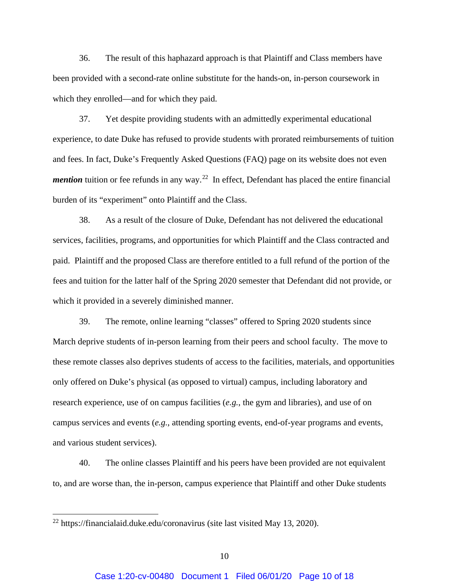36. The result of this haphazard approach is that Plaintiff and Class members have been provided with a second-rate online substitute for the hands-on, in-person coursework in which they enrolled—and for which they paid.

37. Yet despite providing students with an admittedly experimental educational experience, to date Duke has refused to provide students with prorated reimbursements of tuition and fees. In fact, Duke's Frequently Asked Questions (FAQ) page on its website does not even *mention* tuition or fee refunds in any way.<sup>[22](#page-9-0)</sup> In effect, Defendant has placed the entire financial burden of its "experiment" onto Plaintiff and the Class.

38. As a result of the closure of Duke, Defendant has not delivered the educational services, facilities, programs, and opportunities for which Plaintiff and the Class contracted and paid. Plaintiff and the proposed Class are therefore entitled to a full refund of the portion of the fees and tuition for the latter half of the Spring 2020 semester that Defendant did not provide, or which it provided in a severely diminished manner.

39. The remote, online learning "classes" offered to Spring 2020 students since March deprive students of in-person learning from their peers and school faculty. The move to these remote classes also deprives students of access to the facilities, materials, and opportunities only offered on Duke's physical (as opposed to virtual) campus, including laboratory and research experience, use of on campus facilities (*e.g.*, the gym and libraries), and use of on campus services and events (*e.g.*, attending sporting events, end-of-year programs and events, and various student services).

40. The online classes Plaintiff and his peers have been provided are not equivalent to, and are worse than, the in-person, campus experience that Plaintiff and other Duke students

<span id="page-9-0"></span><sup>22</sup> https://financialaid.duke.edu/coronavirus (site last visited May 13, 2020).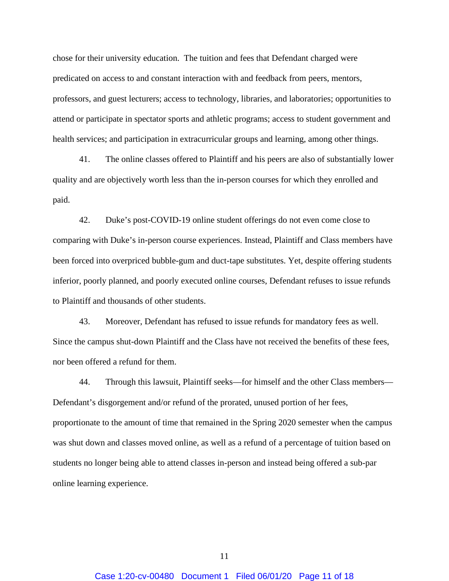chose for their university education. The tuition and fees that Defendant charged were predicated on access to and constant interaction with and feedback from peers, mentors, professors, and guest lecturers; access to technology, libraries, and laboratories; opportunities to attend or participate in spectator sports and athletic programs; access to student government and health services; and participation in extracurricular groups and learning, among other things.

41. The online classes offered to Plaintiff and his peers are also of substantially lower quality and are objectively worth less than the in-person courses for which they enrolled and paid.

42. Duke's post-COVID-19 online student offerings do not even come close to comparing with Duke's in-person course experiences. Instead, Plaintiff and Class members have been forced into overpriced bubble-gum and duct-tape substitutes. Yet, despite offering students inferior, poorly planned, and poorly executed online courses, Defendant refuses to issue refunds to Plaintiff and thousands of other students.

43. Moreover, Defendant has refused to issue refunds for mandatory fees as well. Since the campus shut-down Plaintiff and the Class have not received the benefits of these fees, nor been offered a refund for them.

44. Through this lawsuit, Plaintiff seeks—for himself and the other Class members— Defendant's disgorgement and/or refund of the prorated, unused portion of her fees, proportionate to the amount of time that remained in the Spring 2020 semester when the campus was shut down and classes moved online, as well as a refund of a percentage of tuition based on students no longer being able to attend classes in-person and instead being offered a sub-par online learning experience.

11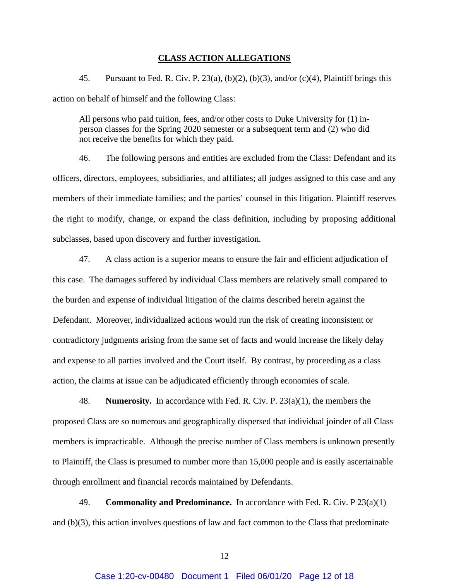#### **CLASS ACTION ALLEGATIONS**

45. Pursuant to Fed. R. Civ. P. 23(a), (b)(2), (b)(3), and/or (c)(4), Plaintiff brings this action on behalf of himself and the following Class:

All persons who paid tuition, fees, and/or other costs to Duke University for (1) inperson classes for the Spring 2020 semester or a subsequent term and (2) who did not receive the benefits for which they paid.

46. The following persons and entities are excluded from the Class: Defendant and its officers, directors, employees, subsidiaries, and affiliates; all judges assigned to this case and any members of their immediate families; and the parties' counsel in this litigation. Plaintiff reserves the right to modify, change, or expand the class definition, including by proposing additional subclasses, based upon discovery and further investigation.

47. A class action is a superior means to ensure the fair and efficient adjudication of this case. The damages suffered by individual Class members are relatively small compared to the burden and expense of individual litigation of the claims described herein against the Defendant. Moreover, individualized actions would run the risk of creating inconsistent or contradictory judgments arising from the same set of facts and would increase the likely delay and expense to all parties involved and the Court itself. By contrast, by proceeding as a class action, the claims at issue can be adjudicated efficiently through economies of scale.

48. **Numerosity.** In accordance with Fed. R. Civ. P. 23(a)(1), the members the proposed Class are so numerous and geographically dispersed that individual joinder of all Class members is impracticable. Although the precise number of Class members is unknown presently to Plaintiff, the Class is presumed to number more than 15,000 people and is easily ascertainable through enrollment and financial records maintained by Defendants.

49. **Commonality and Predominance.** In accordance with Fed. R. Civ. P 23(a)(1) and (b)(3), this action involves questions of law and fact common to the Class that predominate

12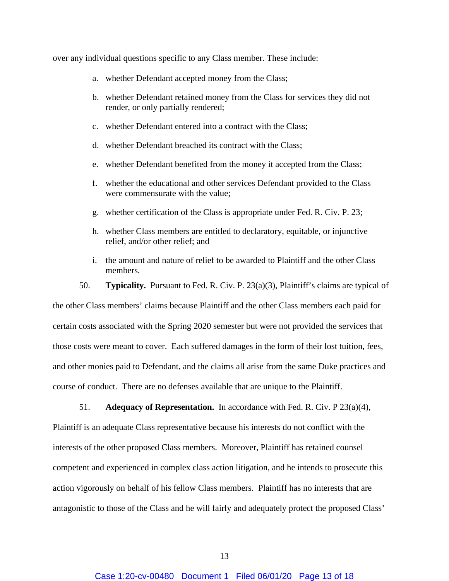over any individual questions specific to any Class member. These include:

- a. whether Defendant accepted money from the Class;
- b. whether Defendant retained money from the Class for services they did not render, or only partially rendered;
- c. whether Defendant entered into a contract with the Class;
- d. whether Defendant breached its contract with the Class;
- e. whether Defendant benefited from the money it accepted from the Class;
- f. whether the educational and other services Defendant provided to the Class were commensurate with the value;
- g. whether certification of the Class is appropriate under Fed. R. Civ. P. 23;
- h. whether Class members are entitled to declaratory, equitable, or injunctive relief, and/or other relief; and
- i. the amount and nature of relief to be awarded to Plaintiff and the other Class members.
- 50. **Typicality.** Pursuant to Fed. R. Civ. P. 23(a)(3), Plaintiff's claims are typical of

the other Class members' claims because Plaintiff and the other Class members each paid for certain costs associated with the Spring 2020 semester but were not provided the services that those costs were meant to cover. Each suffered damages in the form of their lost tuition, fees, and other monies paid to Defendant, and the claims all arise from the same Duke practices and course of conduct. There are no defenses available that are unique to the Plaintiff.

51. **Adequacy of Representation.** In accordance with Fed. R. Civ. P 23(a)(4), Plaintiff is an adequate Class representative because his interests do not conflict with the interests of the other proposed Class members. Moreover, Plaintiff has retained counsel competent and experienced in complex class action litigation, and he intends to prosecute this action vigorously on behalf of his fellow Class members. Plaintiff has no interests that are antagonistic to those of the Class and he will fairly and adequately protect the proposed Class'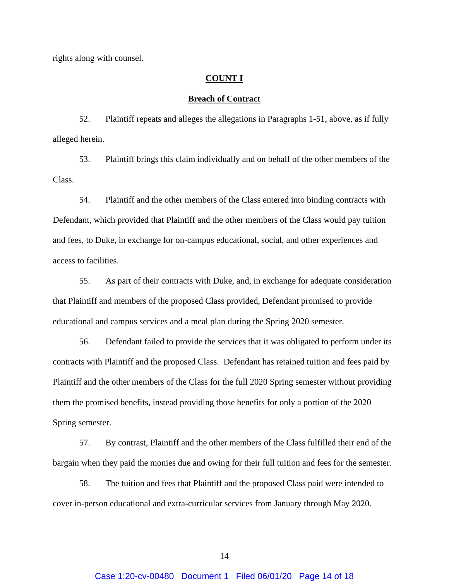rights along with counsel.

#### **COUNT I**

## **Breach of Contract**

52. Plaintiff repeats and alleges the allegations in Paragraphs 1-51, above, as if fully alleged herein.

53. Plaintiff brings this claim individually and on behalf of the other members of the Class.

54. Plaintiff and the other members of the Class entered into binding contracts with Defendant, which provided that Plaintiff and the other members of the Class would pay tuition and fees, to Duke, in exchange for on-campus educational, social, and other experiences and access to facilities.

55. As part of their contracts with Duke, and, in exchange for adequate consideration that Plaintiff and members of the proposed Class provided, Defendant promised to provide educational and campus services and a meal plan during the Spring 2020 semester.

56. Defendant failed to provide the services that it was obligated to perform under its contracts with Plaintiff and the proposed Class. Defendant has retained tuition and fees paid by Plaintiff and the other members of the Class for the full 2020 Spring semester without providing them the promised benefits, instead providing those benefits for only a portion of the 2020 Spring semester.

57. By contrast, Plaintiff and the other members of the Class fulfilled their end of the bargain when they paid the monies due and owing for their full tuition and fees for the semester.

58. The tuition and fees that Plaintiff and the proposed Class paid were intended to cover in-person educational and extra-curricular services from January through May 2020.

14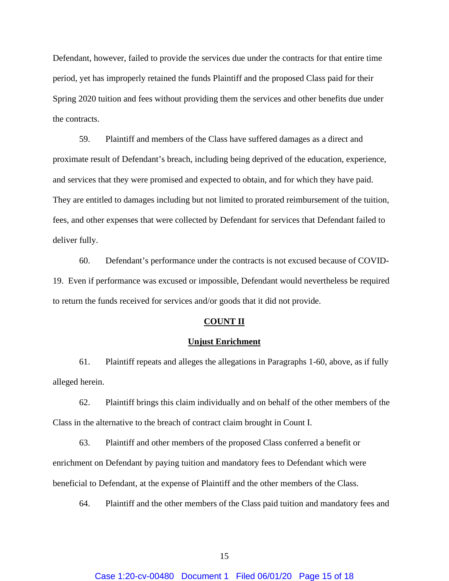Defendant, however, failed to provide the services due under the contracts for that entire time period, yet has improperly retained the funds Plaintiff and the proposed Class paid for their Spring 2020 tuition and fees without providing them the services and other benefits due under the contracts.

59. Plaintiff and members of the Class have suffered damages as a direct and proximate result of Defendant's breach, including being deprived of the education, experience, and services that they were promised and expected to obtain, and for which they have paid. They are entitled to damages including but not limited to prorated reimbursement of the tuition, fees, and other expenses that were collected by Defendant for services that Defendant failed to deliver fully.

60. Defendant's performance under the contracts is not excused because of COVID-19. Even if performance was excused or impossible, Defendant would nevertheless be required to return the funds received for services and/or goods that it did not provide.

## **COUNT II**

#### **Unjust Enrichment**

61. Plaintiff repeats and alleges the allegations in Paragraphs 1-60, above, as if fully alleged herein.

62. Plaintiff brings this claim individually and on behalf of the other members of the Class in the alternative to the breach of contract claim brought in Count I.

63. Plaintiff and other members of the proposed Class conferred a benefit or enrichment on Defendant by paying tuition and mandatory fees to Defendant which were beneficial to Defendant, at the expense of Plaintiff and the other members of the Class.

64. Plaintiff and the other members of the Class paid tuition and mandatory fees and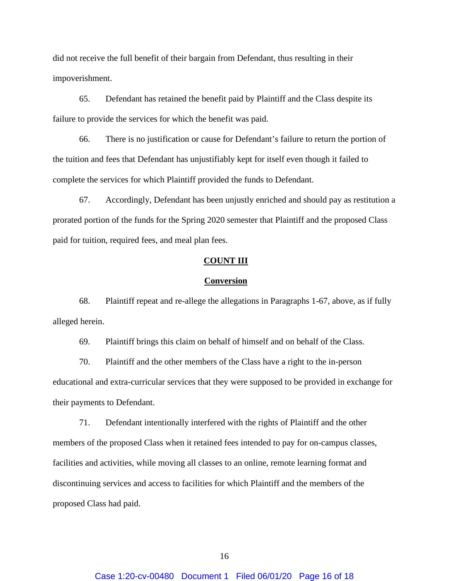did not receive the full benefit of their bargain from Defendant, thus resulting in their impoverishment.

65. Defendant has retained the benefit paid by Plaintiff and the Class despite its failure to provide the services for which the benefit was paid.

66. There is no justification or cause for Defendant's failure to return the portion of the tuition and fees that Defendant has unjustifiably kept for itself even though it failed to complete the services for which Plaintiff provided the funds to Defendant.

67. Accordingly, Defendant has been unjustly enriched and should pay as restitution a prorated portion of the funds for the Spring 2020 semester that Plaintiff and the proposed Class paid for tuition, required fees, and meal plan fees.

### **COUNT III**

#### **Conversion**

68. Plaintiff repeat and re-allege the allegations in Paragraphs 1-67, above, as if fully alleged herein.

69. Plaintiff brings this claim on behalf of himself and on behalf of the Class.

70. Plaintiff and the other members of the Class have a right to the in-person educational and extra-curricular services that they were supposed to be provided in exchange for their payments to Defendant.

71. Defendant intentionally interfered with the rights of Plaintiff and the other members of the proposed Class when it retained fees intended to pay for on-campus classes, facilities and activities, while moving all classes to an online, remote learning format and discontinuing services and access to facilities for which Plaintiff and the members of the proposed Class had paid.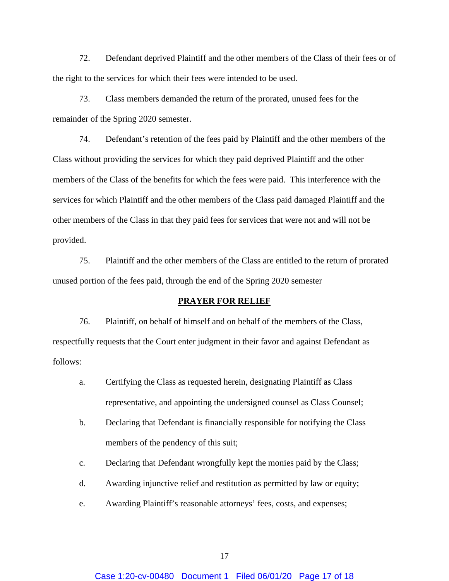72. Defendant deprived Plaintiff and the other members of the Class of their fees or of the right to the services for which their fees were intended to be used.

73. Class members demanded the return of the prorated, unused fees for the remainder of the Spring 2020 semester.

74. Defendant's retention of the fees paid by Plaintiff and the other members of the Class without providing the services for which they paid deprived Plaintiff and the other members of the Class of the benefits for which the fees were paid. This interference with the services for which Plaintiff and the other members of the Class paid damaged Plaintiff and the other members of the Class in that they paid fees for services that were not and will not be provided.

75. Plaintiff and the other members of the Class are entitled to the return of prorated unused portion of the fees paid, through the end of the Spring 2020 semester

### **PRAYER FOR RELIEF**

76. Plaintiff, on behalf of himself and on behalf of the members of the Class, respectfully requests that the Court enter judgment in their favor and against Defendant as follows:

- a. Certifying the Class as requested herein, designating Plaintiff as Class representative, and appointing the undersigned counsel as Class Counsel;
- b. Declaring that Defendant is financially responsible for notifying the Class members of the pendency of this suit;
- c. Declaring that Defendant wrongfully kept the monies paid by the Class;
- d. Awarding injunctive relief and restitution as permitted by law or equity;
- e. Awarding Plaintiff's reasonable attorneys' fees, costs, and expenses;